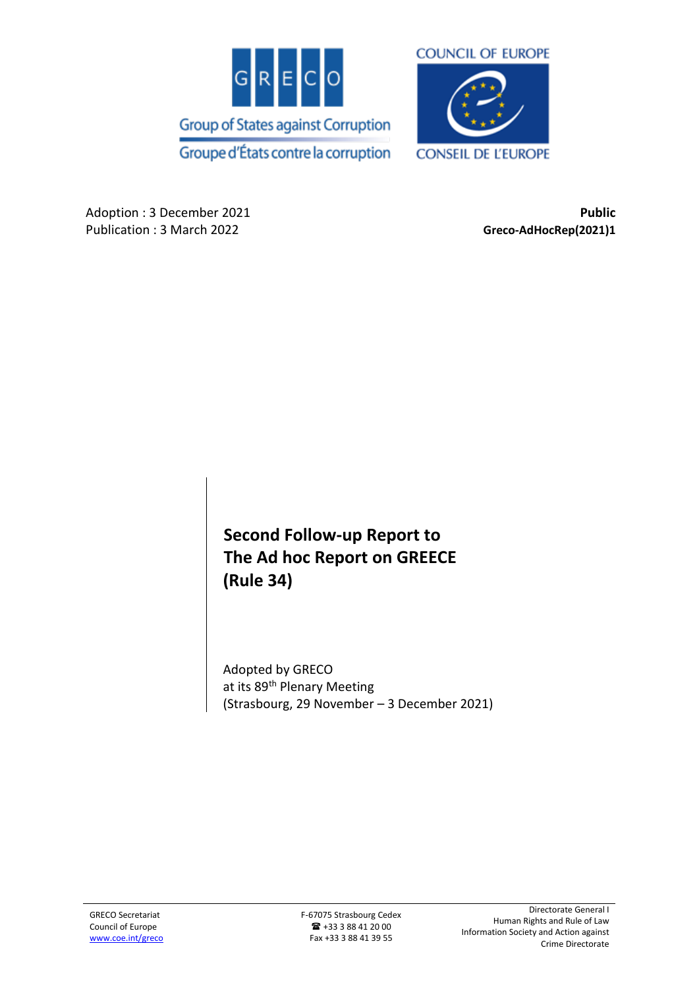



Adoption : 3 December 2021 **Public** Publication : 3 March 2022 **Greco-AdHocRep(2021)1**

**Second Follow-up Report to The Ad hoc Report on GREECE (Rule 34)**

Adopted by GRECO at its 89<sup>th</sup> Plenary Meeting (Strasbourg, 29 November – 3 December 2021)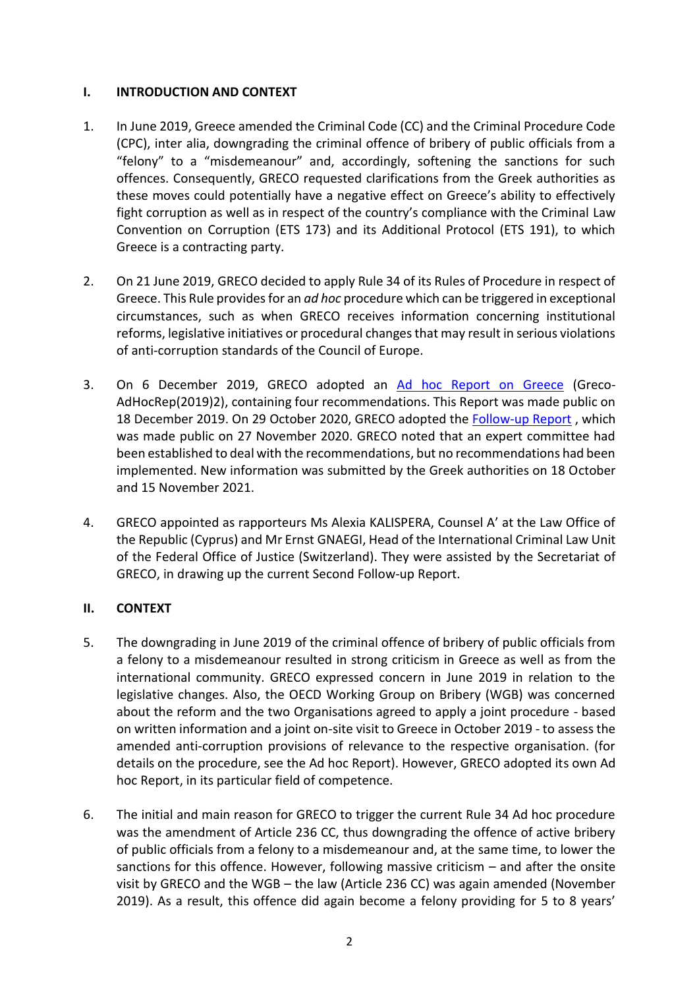### **I. INTRODUCTION AND CONTEXT**

- 1. In June 2019, Greece amended the Criminal Code (CC) and the Criminal Procedure Code (CPC), inter alia, downgrading the criminal offence of bribery of public officials from a "felony" to a "misdemeanour" and, accordingly, softening the sanctions for such offences. Consequently, GRECO requested clarifications from the Greek authorities as these moves could potentially have a negative effect on Greece's ability to effectively fight corruption as well as in respect of the country's compliance with the Criminal Law Convention on Corruption (ETS 173) and its Additional Protocol (ETS 191), to which Greece is a contracting party.
- 2. On 21 June 2019, GRECO decided to apply Rule 34 of its Rules of Procedure in respect of Greece. This Rule provides for an *ad hoc* procedure which can be triggered in exceptional circumstances, such as when GRECO receives information concerning institutional reforms, legislative initiatives or procedural changes that may result in serious violations of anti-corruption standards of the Council of Europe.
- 3. On 6 December 2019, GRECO adopted an [Ad hoc Report on Greece](https://rm.coe.int/ad-hoc-report-on-greece-rule-34-adopted-by-greco-at-its-84th-plenary-m/1680994dc0) (Greco-AdHocRep(2019)2), containing four recommendations. This Report was made public on 18 December 2019. On 29 October 2020, GRECO adopted the [Follow-up Report](https://rm.coe.int/follow-up-report-to-the-ad-hoc-report-on-greece-rule-34-adopted-by-gre/1680a081f4) , which was made public on 27 November 2020. GRECO noted that an expert committee had been established to deal with the recommendations, but no recommendations had been implemented. New information was submitted by the Greek authorities on 18 October and 15 November 2021.
- 4. GRECO appointed as rapporteurs Ms Alexia KALISPERA, Counsel A' at the Law Office of the Republic (Cyprus) and Mr Ernst GNAEGI, Head of the International Criminal Law Unit of the Federal Office of Justice (Switzerland). They were assisted by the Secretariat of GRECO, in drawing up the current Second Follow-up Report.

# **II. CONTEXT**

- 5. The downgrading in June 2019 of the criminal offence of bribery of public officials from a felony to a misdemeanour resulted in strong criticism in Greece as well as from the international community. GRECO expressed concern in June 2019 in relation to the legislative changes. Also, the OECD Working Group on Bribery (WGB) was concerned about the reform and the two Organisations agreed to apply a joint procedure - based on written information and a joint on-site visit to Greece in October 2019 - to assess the amended anti-corruption provisions of relevance to the respective organisation. (for details on the procedure, see the Ad hoc Report). However, GRECO adopted its own Ad hoc Report, in its particular field of competence.
- 6. The initial and main reason for GRECO to trigger the current Rule 34 Ad hoc procedure was the amendment of Article 236 CC, thus downgrading the offence of active bribery of public officials from a felony to a misdemeanour and, at the same time, to lower the sanctions for this offence. However, following massive criticism – and after the onsite visit by GRECO and the WGB – the law (Article 236 CC) was again amended (November 2019). As a result, this offence did again become a felony providing for 5 to 8 years'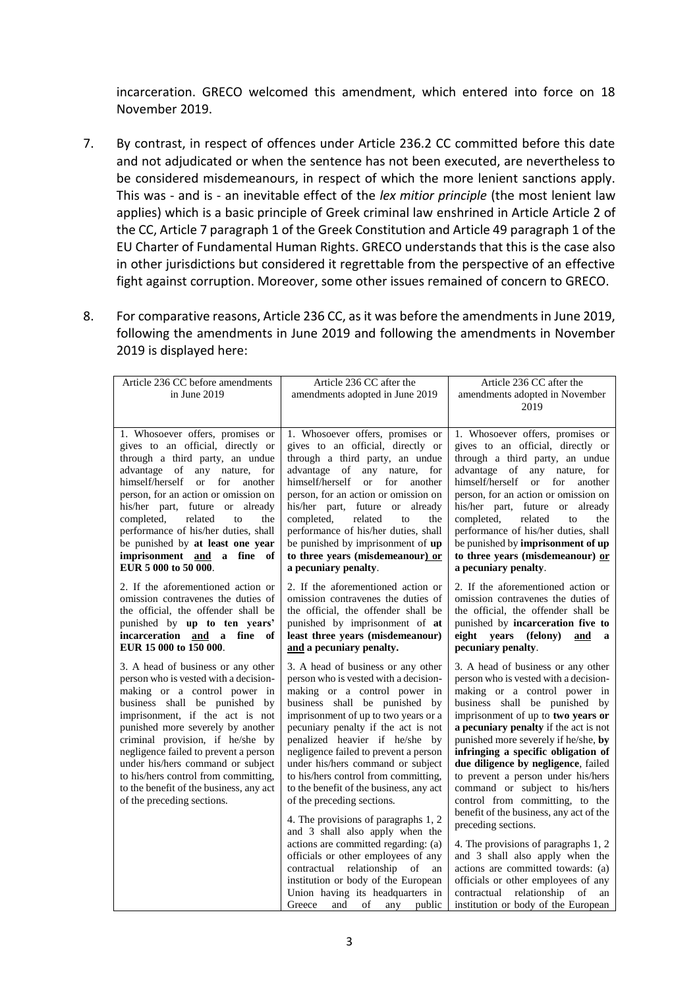incarceration. GRECO welcomed this amendment, which entered into force on 18 November 2019.

- 7. By contrast, in respect of offences under Article 236.2 CC committed before this date and not adjudicated or when the sentence has not been executed, are nevertheless to be considered misdemeanours, in respect of which the more lenient sanctions apply. This was - and is - an inevitable effect of the *lex mitior principle* (the most lenient law applies) which is a basic principle of Greek criminal law enshrined in Article Article 2 of the CC, Article 7 paragraph 1 of the Greek Constitution and Article 49 paragraph 1 of the EU Charter of Fundamental Human Rights. GRECO understands that this is the case also in other jurisdictions but considered it regrettable from the perspective of an effective fight against corruption. Moreover, some other issues remained of concern to GRECO.
- 8. For comparative reasons, Article 236 CC, as it was before the amendments in June 2019, following the amendments in June 2019 and following the amendments in November 2019 is displayed here:

| Article 236 CC before amendments<br>in June 2019                                                                                                                                                                                                                                                                                                                                                                                                           | Article 236 CC after the<br>amendments adopted in June 2019                                                                                                                                                                                                                                                                                                                                                                                                                                                                                                                                                                                                                                                                                                                       | Article 236 CC after the<br>amendments adopted in November<br>2019                                                                                                                                                                                                                                                                                                                                                                                                                                                                                                                                                                                                                                                                                                    |
|------------------------------------------------------------------------------------------------------------------------------------------------------------------------------------------------------------------------------------------------------------------------------------------------------------------------------------------------------------------------------------------------------------------------------------------------------------|-----------------------------------------------------------------------------------------------------------------------------------------------------------------------------------------------------------------------------------------------------------------------------------------------------------------------------------------------------------------------------------------------------------------------------------------------------------------------------------------------------------------------------------------------------------------------------------------------------------------------------------------------------------------------------------------------------------------------------------------------------------------------------------|-----------------------------------------------------------------------------------------------------------------------------------------------------------------------------------------------------------------------------------------------------------------------------------------------------------------------------------------------------------------------------------------------------------------------------------------------------------------------------------------------------------------------------------------------------------------------------------------------------------------------------------------------------------------------------------------------------------------------------------------------------------------------|
| 1. Whosoever offers, promises or<br>gives to an official, directly or<br>through a third party, an undue<br>advantage of any nature,<br>for<br>himself/herself<br>for<br><sub>or</sub><br>another<br>person, for an action or omission on<br>his/her part, future or already<br>completed,<br>related<br>to<br>the<br>performance of his/her duties, shall<br>be punished by at least one year<br>imprisonment and a fine of<br>EUR 5 000 to 50 000.       | 1. Whosoever offers, promises or<br>gives to an official, directly or<br>through a third party, an undue<br>advantage of any nature,<br>for<br>himself/herself<br>or or<br>for<br>another<br>person, for an action or omission on<br>his/her part, future or already<br>related<br>completed,<br>to<br>the<br>performance of his/her duties, shall<br>be punished by imprisonment of up<br>to three years (misdemeanour) or<br>a pecuniary penalty.                                                                                                                                                                                                                                                                                                                               | 1. Whosoever offers, promises or<br>gives to an official, directly or<br>through a third party, an undue<br>advantage of any nature,<br>for<br>himself/herself or<br>for another<br>person, for an action or omission on<br>his/her part, future or<br>already<br>related<br>completed,<br>to<br>the<br>performance of his/her duties, shall<br>be punished by imprisonment of up<br>to three years (misdemeanour) or<br>a pecuniary penalty.                                                                                                                                                                                                                                                                                                                         |
| 2. If the aforementioned action or<br>omission contravenes the duties of<br>the official, the offender shall be<br>punished by up to ten years'<br>incarceration and a fine<br>of<br>EUR 15 000 to 150 000.                                                                                                                                                                                                                                                | 2. If the aforementioned action or<br>omission contravenes the duties of<br>the official, the offender shall be<br>punished by imprisonment of at<br>least three years (misdemeanour)<br>and a pecuniary penalty.                                                                                                                                                                                                                                                                                                                                                                                                                                                                                                                                                                 | 2. If the aforementioned action or<br>omission contravenes the duties of<br>the official, the offender shall be<br>punished by incarceration five to<br>eight years (felony)<br>and<br>a<br>pecuniary penalty.                                                                                                                                                                                                                                                                                                                                                                                                                                                                                                                                                        |
| 3. A head of business or any other<br>person who is vested with a decision-<br>making or a control power in<br>business shall be punished<br>by<br>imprisonment, if the act is not<br>punished more severely by another<br>criminal provision, if he/she by<br>negligence failed to prevent a person<br>under his/hers command or subject<br>to his/hers control from committing,<br>to the benefit of the business, any act<br>of the preceding sections. | 3. A head of business or any other<br>person who is vested with a decision-<br>making or a control power in<br>business shall be punished by<br>imprisonment of up to two years or a<br>pecuniary penalty if the act is not<br>penalized heavier if he/she by<br>negligence failed to prevent a person<br>under his/hers command or subject<br>to his/hers control from committing,<br>to the benefit of the business, any act<br>of the preceding sections.<br>4. The provisions of paragraphs 1, 2<br>and 3 shall also apply when the<br>actions are committed regarding: (a)<br>officials or other employees of any<br>relationship of<br>contractual<br>an<br>institution or body of the European<br>Union having its headquarters in<br>of<br>any<br>public<br>Greece<br>and | 3. A head of business or any other<br>person who is vested with a decision-<br>making or a control power in<br>business shall be punished by<br>imprisonment of up to two years or<br>a pecuniary penalty if the act is not<br>punished more severely if he/she, by<br>infringing a specific obligation of<br>due diligence by negligence, failed<br>to prevent a person under his/hers<br>command or subject to his/hers<br>control from committing, to the<br>benefit of the business, any act of the<br>preceding sections.<br>4. The provisions of paragraphs 1, 2<br>and 3 shall also apply when the<br>actions are committed towards: (a)<br>officials or other employees of any<br>relationship of<br>contractual<br>an<br>institution or body of the European |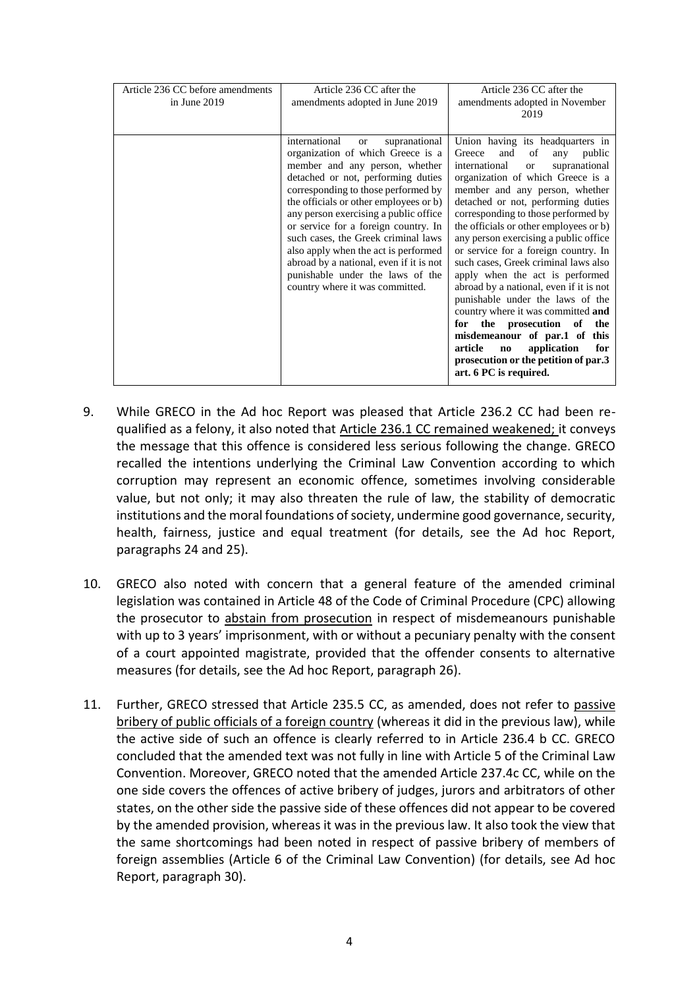| Article 236 CC before amendments | Article 236 CC after the                                                                                                                                                                                                                                                                                                                                                                                                                                                                                             | Article 236 CC after the                                                                                                                                                                                                                                                                                                                                                                                                                                                                                                                                                                                                                                                                                                                                                                                     |
|----------------------------------|----------------------------------------------------------------------------------------------------------------------------------------------------------------------------------------------------------------------------------------------------------------------------------------------------------------------------------------------------------------------------------------------------------------------------------------------------------------------------------------------------------------------|--------------------------------------------------------------------------------------------------------------------------------------------------------------------------------------------------------------------------------------------------------------------------------------------------------------------------------------------------------------------------------------------------------------------------------------------------------------------------------------------------------------------------------------------------------------------------------------------------------------------------------------------------------------------------------------------------------------------------------------------------------------------------------------------------------------|
| in June $2019$                   | amendments adopted in June 2019                                                                                                                                                                                                                                                                                                                                                                                                                                                                                      | amendments adopted in November                                                                                                                                                                                                                                                                                                                                                                                                                                                                                                                                                                                                                                                                                                                                                                               |
|                                  |                                                                                                                                                                                                                                                                                                                                                                                                                                                                                                                      | 2019                                                                                                                                                                                                                                                                                                                                                                                                                                                                                                                                                                                                                                                                                                                                                                                                         |
|                                  |                                                                                                                                                                                                                                                                                                                                                                                                                                                                                                                      |                                                                                                                                                                                                                                                                                                                                                                                                                                                                                                                                                                                                                                                                                                                                                                                                              |
|                                  | international<br>supranational<br>or<br>organization of which Greece is a<br>member and any person, whether<br>detached or not, performing duties<br>corresponding to those performed by<br>the officials or other employees or b)<br>any person exercising a public office<br>or service for a foreign country. In<br>such cases, the Greek criminal laws<br>also apply when the act is performed<br>abroad by a national, even if it is not<br>punishable under the laws of the<br>country where it was committed. | Union having its headquarters in<br>Greece<br>and<br>of<br>any<br>public<br>international<br>supranational<br><sub>or</sub><br>organization of which Greece is a<br>member and any person, whether<br>detached or not, performing duties<br>corresponding to those performed by<br>the officials or other employees or b)<br>any person exercising a public office<br>or service for a foreign country. In<br>such cases, Greek criminal laws also<br>apply when the act is performed<br>abroad by a national, even if it is not<br>punishable under the laws of the<br>country where it was committed and<br>the prosecution of<br>for<br>the<br>misdemeanour of par.1 of this<br>application<br>article<br>for<br>$\mathbf{n}\mathbf{o}$<br>prosecution or the petition of par.3<br>art. 6 PC is required. |

- 9. While GRECO in the Ad hoc Report was pleased that Article 236.2 CC had been requalified as a felony, it also noted that Article 236.1 CC remained weakened; it conveys the message that this offence is considered less serious following the change. GRECO recalled the intentions underlying the Criminal Law Convention according to which corruption may represent an economic offence, sometimes involving considerable value, but not only; it may also threaten the rule of law, the stability of democratic institutions and the moral foundations of society, undermine good governance, security, health, fairness, justice and equal treatment (for details, see the Ad hoc Report, paragraphs 24 and 25).
- 10. GRECO also noted with concern that a general feature of the amended criminal legislation was contained in Article 48 of the Code of Criminal Procedure (CPC) allowing the prosecutor to abstain from prosecution in respect of misdemeanours punishable with up to 3 years' imprisonment, with or without a pecuniary penalty with the consent of a court appointed magistrate, provided that the offender consents to alternative measures (for details, see the Ad hoc Report, paragraph 26).
- 11. Further, GRECO stressed that Article 235.5 CC, as amended, does not refer to passive bribery of public officials of a foreign country (whereas it did in the previous law), while the active side of such an offence is clearly referred to in Article 236.4 b CC. GRECO concluded that the amended text was not fully in line with Article 5 of the Criminal Law Convention. Moreover, GRECO noted that the amended Article 237.4c CC, while on the one side covers the offences of active bribery of judges, jurors and arbitrators of other states, on the other side the passive side of these offences did not appear to be covered by the amended provision, whereas it was in the previous law. It also took the view that the same shortcomings had been noted in respect of passive bribery of members of foreign assemblies (Article 6 of the Criminal Law Convention) (for details, see Ad hoc Report, paragraph 30).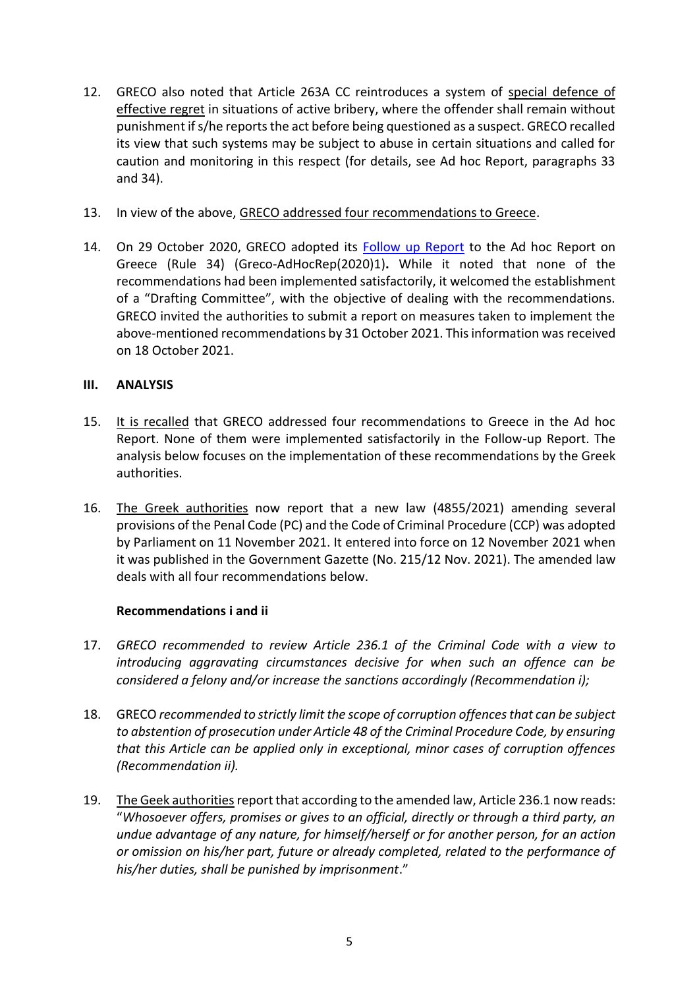- 12. GRECO also noted that Article 263A CC reintroduces a system of special defence of effective regret in situations of active bribery, where the offender shall remain without punishment if s/he reports the act before being questioned as a suspect. GRECO recalled its view that such systems may be subject to abuse in certain situations and called for caution and monitoring in this respect (for details, see Ad hoc Report, paragraphs 33 and 34).
- 13. In view of the above, GRECO addressed four recommendations to Greece.
- 14. On 29 October 2020, GRECO adopted its **Follow up Report** to the Ad hoc Report on Greece (Rule 34) (Greco-AdHocRep(2020)1)**.** While it noted that none of the recommendations had been implemented satisfactorily, it welcomed the establishment of a "Drafting Committee", with the objective of dealing with the recommendations. GRECO invited the authorities to submit a report on measures taken to implement the above-mentioned recommendations by 31 October 2021. This information was received on 18 October 2021.

# **III. ANALYSIS**

- 15. It is recalled that GRECO addressed four recommendations to Greece in the Ad hoc Report. None of them were implemented satisfactorily in the Follow-up Report. The analysis below focuses on the implementation of these recommendations by the Greek authorities.
- 16. The Greek authorities now report that a new law (4855/2021) amending several provisions of the Penal Code (PC) and the Code of Criminal Procedure (CCP) was adopted by Parliament on 11 November 2021. It entered into force on 12 November 2021 when it was published in the Government Gazette (No. 215/12 Nov. 2021). The amended law deals with all four recommendations below.

# **Recommendations i and ii**

- 17. *GRECO recommended to review Article 236.1 of the Criminal Code with a view to introducing aggravating circumstances decisive for when such an offence can be considered a felony and/or increase the sanctions accordingly (Recommendation i);*
- 18. GRECO *recommended to strictly limit the scope of corruption offences that can be subject to abstention of prosecution under Article 48 of the Criminal Procedure Code, by ensuring that this Article can be applied only in exceptional, minor cases of corruption offences (Recommendation ii).*
- 19. The Geek authorities report that according to the amended law, Article 236.1 now reads: "*Whosoever offers, promises or gives to an official, directly or through a third party, an undue advantage of any nature, for himself/herself or for another person, for an action or omission on his/her part, future or already completed, related to the performance of his/her duties, shall be punished by imprisonment*."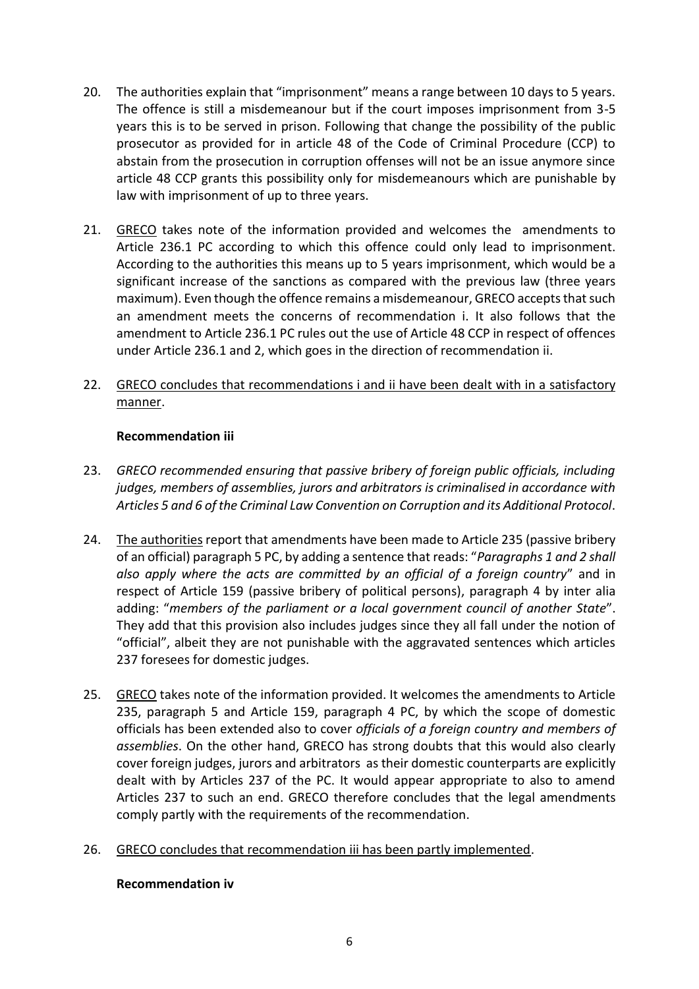- 20. The authorities explain that "imprisonment" means a range between 10 days to 5 years. The offence is still a misdemeanour but if the court imposes imprisonment from 3-5 years this is to be served in prison. Following that change the possibility of the public prosecutor as provided for in article 48 of the Code of Criminal Procedure (CCP) to abstain from the prosecution in corruption offenses will not be an issue anymore since article 48 CCP grants this possibility only for misdemeanours which are punishable by law with imprisonment of up to three years.
- 21. GRECO takes note of the information provided and welcomes the amendments to Article 236.1 PC according to which this offence could only lead to imprisonment. According to the authorities this means up to 5 years imprisonment, which would be a significant increase of the sanctions as compared with the previous law (three years maximum). Even though the offence remains a misdemeanour, GRECO accepts that such an amendment meets the concerns of recommendation i. It also follows that the amendment to Article 236.1 PC rules out the use of Article 48 CCP in respect of offences under Article 236.1 and 2, which goes in the direction of recommendation ii.
- 22. GRECO concludes that recommendations i and ii have been dealt with in a satisfactory manner.

### **Recommendation iii**

- 23. *GRECO recommended ensuring that passive bribery of foreign public officials, including judges, members of assemblies, jurors and arbitrators is criminalised in accordance with Articles 5 and 6 of the Criminal Law Convention on Corruption and its Additional Protocol*.
- 24. The authorities report that amendments have been made to Article 235 (passive bribery of an official) paragraph 5 PC, by adding a sentence that reads: "*Paragraphs 1 and 2 shall also apply where the acts are committed by an official of a foreign country*" and in respect of Article 159 (passive bribery of political persons), paragraph 4 by inter alia adding: "*members of the parliament or a local government council of another State*". They add that this provision also includes judges since they all fall under the notion of "official", albeit they are not punishable with the aggravated sentences which articles 237 foresees for domestic judges.
- 25. GRECO takes note of the information provided. It welcomes the amendments to Article 235, paragraph 5 and Article 159, paragraph 4 PC, by which the scope of domestic officials has been extended also to cover *officials of a foreign country and members of assemblies*. On the other hand, GRECO has strong doubts that this would also clearly cover foreign judges, jurors and arbitrators as their domestic counterparts are explicitly dealt with by Articles 237 of the PC. It would appear appropriate to also to amend Articles 237 to such an end. GRECO therefore concludes that the legal amendments comply partly with the requirements of the recommendation.
- 26. GRECO concludes that recommendation iii has been partly implemented.

# **Recommendation iv**